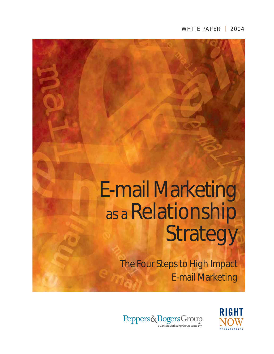WHITE PAPER | 2004

# E-mail Marketing as aRelationship **Strategy**

The Four Steps to High Impact E-mail Marketing



Peppers&RogersGroup Garlson Marketing Group company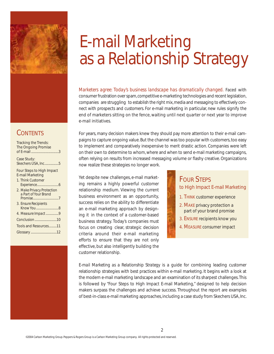

### **CONTENTS**

# E-mail Marketing as a Relationship Strategy

*Marketers agree: Today's business landscape has dramatically changed.* Faced with consumer frustration over spam,competitive e-marketing technologies and recent legislation, companies are struggling to establish the right mix, media and messaging to effectively connect with prospects and customers. For e-mail marketing in particular, new rules signify the end of marketers sitting on the fence, waiting until next quarter or next year to improve e-mail initiatives.

For years, many decision makers knew they *should* pay more attention to their e-mail campaigns to capture ongoing value. But the channel was too popular with customers, too easy to implement and comparatively inexpensive to merit drastic action. Companies were left on their own to determine to whom, where and when to send e-mail marketing campaigns, often relying on results from increased messaging volume or flashy creative. Organizations now realize these strategies no longer work.

Yet despite new challenges, e-mail marketing remains a highly powerful customer relationship medium. Viewing the current business environment as an opportunity, success relies on the ability to differentiate an e-mail marketing approach by designing it in the context of a customer-based business strategy. Today's companies *must* focus on creating clear, strategic decision criteria around their e-mail marketing efforts to ensure that they are not only effective, but also intelligently building the customer relationship.

## FOUR STEPS to High Impact E-mail Marketing

- 1. THINK customer experience
- 2. MAKE privacy protection a part of your brand promise
- 3. ENSURE recipients know you
- 4. MEASURE consumer impact

*E-mail Marketing as a Relationship Strategy* is a guide for combining leading customer relationship strategies with best practices within e-mail marketing. It begins with a look at the modern e-mail marketing landscape and an examination of its sharpest challenges.This is followed by "Four Steps to High Impact E-mail Marketing," designed to help decision makers surpass the challenges and achieve success. Throughout the report are examples of best-in-class e-mail marketing approaches, including a case study from Skechers USA, Inc.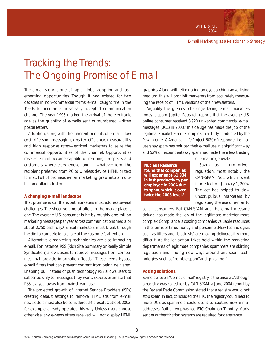



# Tracking the Trends: The Ongoing Promise of E-mail

The e-mail story is one of rapid global adoption and fastemerging opportunities. Though it had existed for two decades in non-commercial forms, e-mail caught fire in the 1990s to become a universally accepted communication channel. The year 1995 marked the arrival of the electronic age as the quantity of e-mails sent outnumbered written postal letters.

Adoption, along with the inherent benefits of e-mail—low cost, rifle-shot messaging, greater efficiency, measurability and high response rates—enticed marketers to seize the commercial opportunities of the channel. Opportunities rose as e-mail became capable of reaching prospects and customers wherever, whenever and in whatever form the recipient preferred, from PC to wireless device, HTML or text format. Full of promise, e-mail marketing grew into a multibillion dollar industry.

#### **A changing e-mail landscape**

That promise is still there, but marketers must address several challenges. The sheer volume of offers in the marketplace is one. The average U.S. consumer is hit by roughly one million marketing messages per year across communications media,or about 2,750 each day.<sup>1</sup> E-mail marketers must break through the din to compete for a share of the customer's attention.

Alternative e-marketing technologies are also impacting e-mail. For instance, RSS (Rich Site Summary or Really Simple Syndication) allows users to retrieve messages from companies that provide information "feeds." These feeds bypass e-mail filters that can prevent content from being delivered. Enabling pull instead of push technology, RSS allows users to subscribe only to messages they want. Experts estimate that RSS is a year away from mainstream use.

The projected growth of Internet Service Providers (ISPs) creating default settings to remove HTML ads from e-mail newsletters must also be considered. Microsoft Outlook 2003, for example, already operates this way. Unless users choose otherwise, any e-newsletters received will not display HTML graphics. Along with eliminating an eye-catching advertising medium, this will prohibit marketers from accurately measuring the receipt of HTML versions of their newsletters.

Arguably the greatest challenge facing e-mail marketers today is spam. Jupiter Research reports that the average U.S. online consumer received 3,920 unwanted commercial e-mail messages (UCE) in 2003.2 This deluge has made the job of the legitimate marketer more complex. In a study conducted by the Pew Internet & American Life Project, 60% of respondent e-mail users say spam has reduced their e-mail use in a significant way and 52% of respondents say spam has made them less trusting

**Nucleus Research found that companies will experience \$1,934 in lost productivity per employee in 2004 due to spam, which is over twice the 2003 level.4**

of e-mail in general.<sup>3</sup>

Spam has in turn driven regulation, most notably the CAN-SPAM Act, which went into effect on January 1, 2004. The act has helped to slow unscrupulous marketers by regulating the use of e-mail to

solicit consumers. But CAN-SPAM and the e-mail message deluge has made the job of the legitimate marketer more complex. Compliance is costing companies valuable resources in the forms of time, money and personnel. New technologies such as filters and "blacklists" are making deliverability more difficult. As the legislation takes hold within the marketing departments of legitimate companies, spammers are skirting regulation and finding new ways around anti-spam technologies, such as "zombie spam" and "phishing."

#### **Posing solutions**

Some believe a "do-not-e-mail" registry is the answer. Although a registry was called for by CAN-SPAM, a June 2004 report by the Federal Trade Commission stated that a registry would not stop spam. In fact, concluded the FTC, the registry could lead to more UCE as spammers could use it to capture new e-mail addresses. Rather, emphasized FTC Chairman Timothy Muris, sender authentication systems are required for deterrence.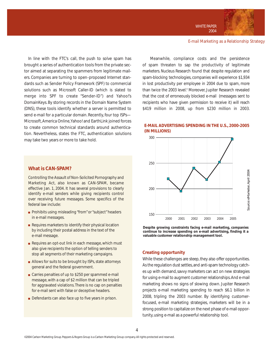

In line with the FTC's call, the push to solve spam has brought a series of authentication tools from the private sector aimed at separating the spammers from legitimate mailers. Companies are turning to open-proposed Internet standards such as Sender Policy Framework (SPF) to commercial solutions such as Microsoft Caller-ID (which is slated to merge into SPF to create "Sender-ID") and Yahoo!'s DomainKeys. By storing records in the Domain Name System (DNS), these tools identify whether a server is permitted to send e-mail for a particular domain. Recently, four top ISPs— Microsoft, America Online,Yahoo! and EarthLink joined forces to create common technical standards around authentication. Nevertheless, states the FTC, authentication solutions may take two years or more to take hold.

Meanwhile, compliance costs and the persistence of spam threaten to sap the productivity of legitimate marketers. Nucleus Research found that despite regulation and spam-blocking technologies, companies will experience \$1,934 in lost productivity per employee in 2004 due to spam, more than twice the 2003 level.<sup>4</sup> Moreover, Jupiter Research revealed that the cost of erroneously blocked e-mail (messages sent to recipients who have given permission to receive it) will reach \$419 million in 2008, up from \$230 million in 2003.

#### **E-MAIL ADVERTISING SPENDING IN THE U.S., 2000-2005 (IN MILLIONS)**



#### **Despite growing constraints facing e-mail marketing, companies continue to increase spending on e-mail advertising, finding it a valuable customer relationship management tool.**

#### **Creating opportunity**

While these challenges are steep, they also offer opportunities. As the regulation dust settles, and anti-spam technology catches up with demand, savvy marketers can act on new strategies for using e-mail to augment customer relationships. And e-mail marketing shows no signs of slowing down. Jupiter Research projects e-mail marketing spending to reach \$6.1 billion in 2008, tripling the 2003 number. By identifying customerfocused, e-mail marketing strategies, marketers will be in a strong position to capitalize on the next phase of e-mail opportunity, using e-mail as a powerful relationship tool.

#### **What is CAN-SPAM?**

Controlling the Assault of Non-Solicited Pornography and Marketing Act, also known as CAN-SPAM, became effective Jan. 1, 2004. It has several provisions to clearly identify e-mail senders while giving recipients control over receiving future messages. Some specifics of the federal law include:

- **Prohibits using misleading "from" or "subject" headers** in e-mail messages.
- Requires marketers to identify their physical location by including their postal address in the text of the e-mail message.
- Requires an opt-out link in each message, which must also give recipients the option of telling senders to stop all segments of their marketing campaigns.
- Allows for suits to be brought by ISPs, state attorneys general and the federal government.
- Carries penalties of up to \$250 per spammed e-mail message, with a cap of \$2 million that can be tripled for aggravated violations. There is no cap on penalties for e-mail sent with false or deceptive headers.
- Defendants can also face up to five years in prison.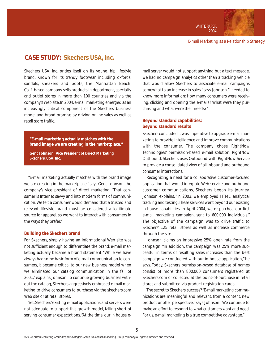WHITE PAPER 2004



E-mail Marketing as a Relationship Strategy

### **CASE STUDY: Skechers USA, Inc.**

Skechers USA, Inc. prides itself on its young, hip lifestyle brand. Known for its trendy footwear, including oxfords, sandals, sneakers and boots, the Manhattan Beach, Calif.-based company sells products in department, specialty and outlet stores in more than 100 countries and via the company's Web site. In 2004, e-mail marketing emerged as an increasingly critical component of the Skechers business model and brand promise by driving online sales as well as retail store traffic.

**"E-mail marketing actually matches with the brand image we are creating in the marketplace."**

**Geric Johnson, Vice President of Direct Marketing Skechers, USA, Inc.**

"E-mail marketing actually matches with the brand image we are creating in the marketplace," says Geric Johnson, the company's vice president of direct marketing. "That consumer is Internet savvy and into modern forms of communication. We felt a consumer would demand that a trusted and relevant lifestyle brand must be considered a legitimate source for apparel, so we want to interact with consumers in the ways they prefer."

#### **Building the Skechers brand**

For Skechers, simply having an informational Web site was not sufficient enough to differentiate the brand; e-mail marketing actually became a brand statement. "While we have always had some basic form of e-mail communication to consumers, it became critical to our new business model when we eliminated our catalog communication in the fall of 2001," explains Johnson. To continue growing business without the catalog, Skechers aggressively embraced e-mail marketing to drive consumers to purchase via the skechers.com Web site or at retail stores.

Yet, Skechers' existing e-mail applications and servers were not adequate to support this growth model, falling short of serving consumer expectations."At the time, our in house email server would not support anything but a text message, we had no campaign analytics other than a tracking vehicle that would allow Skechers to associate e-mail campaigns somewhat to an increase in sales," says Johnson."I needed to know more information: How many consumers were receiving, clicking and opening the e-mails? What were they purchasing and what were their needs?"

#### **Beyond standard capabilities; beyond standard results**

Skechers concluded it was imperative to upgrade e-mail marketing to provide intelligence and improve communications with the consumer. The company chose RightNow Technologies' permission-based e-mail solution, RightNow Outbound. Skechers uses Outbound with RightNow Service to provide a consolidated view of all inbound and outbound consumer interactions.

Recognizing a need for a collaborative customer-focused application that would integrate Web service and outbound customer communications, Skechers began its journey. Johnson explains, "In 2003, we employed HTML, analytical tracking and testing.These services went beyond our existing in-house capabilities. In April 2004, we dispatched our first e-mail marketing campaign, sent to 600,000 individuals." The objective of the campaign was to drive traffic to Skechers' 125 retail stores as well as increase commerce through the site.

Johnson claims an impressive 25% open rate from the campaign. "In addition, the campaign was 25% more successful in terms of resulting sales increases than the best campaign we conducted with our in-house application," he says. Today, Skechers permission-based database of names consist of more than 800,000 consumers registered at Skechers.com or collected at the point-of-purchase in retail stores and submitted via product registration cards.

The secret to Skechers'success? "E-mail marketing communications are meaningful and relevant, from a content, new product or offer perspective," says Johnson."We continue to make an effort to respond to what customers want and need. For us, e-mail marketing is a true competitive advantage."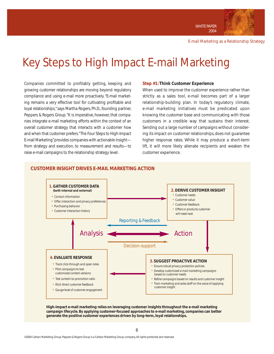WHITE PAPER 2004

# Key Steps to High Impact E-mail Marketing

Companies committed to profitably getting, keeping and growing customer relationships are moving beyond regulatory compliance and using e-mail more proactively. "E-mail marketing remains a very effective tool for cultivating profitable and loyal relationships," says Martha Rogers, Ph.D., founding partner, Peppers & Rogers Group."It is imperative, however, that companies integrate e-mail marketing efforts within the context of an overall customer strategy that interacts with a customer how and when that customer prefers."The Four Steps to High-Impact E-mail Marketing"provides companies with actionable insight from strategy and execution, to measurement and results—to raise e-mail campaigns to the relationship strategy level.

#### **Step #1: Think Customer Experience**

When used to improve the customer experience rather than strictly as a sales tool, e-mail becomes part of a larger relationship-building plan. In today's regulatory climate, e-mail marketing initiatives must be predicated upon knowing the customer base and communicating with those customers in a credible way that sustains their interest. Sending out a large number of campaigns without considering its impact on customer relationships, does not guarantee higher response rates. While it may produce a short-term lift, it will more likely alienate recipients and weaken the customer experience.



**High-impact e-mail marketing relies on leveraging customer insights throughout the e-mail marketing campaign lifecycle. By applying customer-focused approaches to e-mail marketing, companies can better generate the positive customer experiences driven by long-term, loyal relationships.**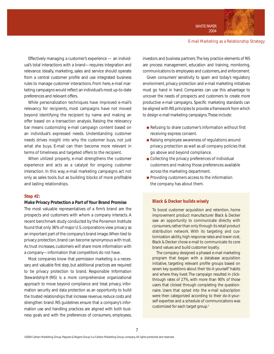

Effectively managing a customer's experience — an individual's total interactions with a brand—requires integration and relevance. Ideally, marketing, sales and service should operate from a central customer profile and use integrated business rules to manage customer interactions. From here, e-mail marketing campaigns would reflect an individual's most up-to-date preferences and relevant offers.

While personalization techniques have improved e-mail's relevancy for recipients, most campaigns have not moved beyond identifying the recipient by name and making an offer based on a transaction analysis. Raising the relevancy bar means customizing e-mail campaign content based on an individual's expressed needs. Understanding customer needs drives insight into why the customer buys, not just what she buys. E-mail can then become more relevant in terms of timeliness and targeted offers to the recipient.

When utilized properly, e-mail strengthens the customer experience and acts as a catalyst for ongoing customer interaction. In this way, e-mail marketing campaigns act not only as sales tools, but as building blocks of more profitable and lasting relationships.

#### **Step #2:**

#### **Make Privacy Protection a Part of Your Brand Promise**

The most valuable representatives of a firm's brand are the prospects and customers with whom a company interacts. A recent benchmark study conducted by the Ponemon Institute found that only 36% of major U.S. corporations view privacy as an important part of the company's brand image.When tied to privacy protection, brand can become synonymous with trust. As trust increases, customers will share more information with a company—information that competitors do not have.

Most companies know that permission marketing is a necessary and valuable first step, but additional practices are required to tie privacy protection to brand. Responsible Information Stewardship® (RIS) is a more comprehensive organizational approach to move beyond compliance and treat privacy, information security and data protection as an opportunity to build the trusted relationships that increase revenue, reduce costs and strengthen brand. RIS guidelines ensure that a company's information use and handling practices are aligned with both business goals and with the preferences of consumers, employees, investors and business partners.The key practice elements of RIS are process management, education and training, monitoring, communications to employees and customers, and enforcement.

Given consumers' sensitivity to spam and today's regulatory environment, privacy protection and e-mail marketing initiatives must go hand in hand. Companies can use this advantage to uncover the needs of prospects and customers to create more productive e-mail campaigns. Specific marketing standards can be aligned with RIS principles to provide a framework from which to design e-mail marketing campaigns.These include:

- Refusing to share customer's information without first receiving express consent.
- Raising employee awareness of regulations around privacy protection as well as all company policies that go above and beyond compliance.
- Collecting the privacy preferences of individual customers and making those preferences available across the marketing department.
- **Providing customers access to the information** the company has about them.

#### **Black & Decker builds wisely**

To boost customer acquisition and retention, home improvement product manufacturer Black & Decker saw an opportunity to communicate directly with consumers, rather than only through its retail product distribution network. With its targeting and customization ability, high response rates and lower cost, Black & Decker chose e-mail to communicate its core brand values and build customer loyalty.

The company designed a phased e-mail marketing program that began with a database acquisition initiative, targeting relevant profile groups based on seven key questions about their 'do-it-yourself' habits and where they lived. The campaign resulted in clickthrough rates of 27%, with more than 90% of those users that clicked through completing the questionnaire. Users that opted into the e-mail subscription were then categorized according to their do-it-yourself expertise and a schedule of communications was customized for each target group.<sup>5</sup>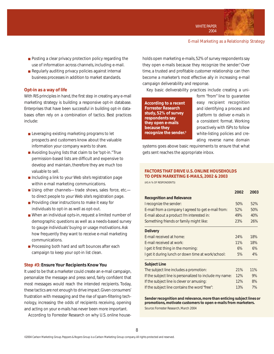

- **Posting a clear privacy protection policy regarding the** use of information across channels, including e-mail.
- Regularly auditing privacy policies against internal business processes in addition to market standards.

#### **Opt-in as a way of life**

With RIS principles in hand, the first step in creating any e-mail marketing strategy is building a responsive opt-in database. Enterprises that have been successful in building opt-in databases often rely on a combination of tactics. Best practices include:

- **Leveraging existing marketing programs to let** prospects and customers know about the valuable information your company wants to share.
- Avoiding buying lists that claim to be "opt-in."True permission-based lists are difficult and expensive to develop and maintain, therefore they are much too valuable to sell.
- $\blacksquare$  Including a link to your Web site's registration page within e-mail marketing communications.
- Using other channels—trade shows, sales force, etc. to direct people to your Web site's registration page.
- **Providing clear instructions to make it easy for** individuals to opt-in as well as opt-out.
- When an individual opts-in, request a limited number of demographic questions as well as a needs-based survey to gauge individuals' buying or usage motivations. Ask how frequently they want to receive e-mail marketing communications.
- **Processing both hard and soft bounces after each** campaign to keep your opt-in list clean.

#### **Step #3: Ensure Your Recipients Know You**

It used to be that a marketer could create an e-mail campaign, personalize the message and press send, fairly confident that most messages would reach the intended recipients. Today, these tactics are not enough to drive impact.Given consumers' frustration with messaging and the rise of spam-filtering technology, increasing the odds of recipients receiving, opening and acting on your e-mails has never been more important.

According to Forrester Research on why U.S. online house-

holds open marketing e-mails, 52% of survey respondents say they open e-mails because they recognize the sender.<sup>6</sup> Over time, a trusted and profitable customer relationship can then become a marketer's most effective ally in increasing e-mail campaign deliverability and response.

Key basic deliverability practices include creating a uni-

**According to a recent Forrester Research study, 52% of survey respondents say they open e-mails because they recognize the sender.6** form "from" line to guarantee easy recipient recognition and identifying a process and platform to deliver e-mails in a consistent format. Working proactively with ISPs to follow white-listing policies and creating reverse name domain

systems goes above basic requirements to ensure that what gets sent reaches the appropriate inbox.

### **FACTORS THAT DRIVE U.S. ONLINE HOUSEHOLDS TO OPEN MARKETING E-MAILS, 2002 & 2003**

(AS A % OF RESPONDENTS)

|                                                                                                                                         | 2002 | 2003 |
|-----------------------------------------------------------------------------------------------------------------------------------------|------|------|
| <b>Recognition and Relevance</b>                                                                                                        |      |      |
| I recognize the sender:                                                                                                                 | 50%  | 52%  |
| E-mail from a company I agreed to get e-mail from:                                                                                      | 52%  | 50%  |
| E-mail about a product I'm interested in:                                                                                               | 49%  | 40%  |
| Something friends or family might like:                                                                                                 | 23%  | 26%  |
| <b>Delivery</b>                                                                                                                         |      |      |
| E-mail received at home:                                                                                                                | 24%  | 18%  |
| E-mail received at work:                                                                                                                | 11%  | 18%  |
| I get it first thing in the morning:                                                                                                    | 6%   | 6%   |
| I get it during lunch or down time at work/school:                                                                                      | 5%   | 4%   |
| <b>Subject Line</b>                                                                                                                     |      |      |
| The subject line includes a promotion:                                                                                                  | 21%  | 11%  |
| If the subject line is personalized to include my name:                                                                                 | 12%  | 9%   |
| If the subject line is clever or amusing:                                                                                               | 12%  | 8%   |
| If the subject line contains the word "free":                                                                                           | 13%  | 7%   |
| Sender recognition and relevance, more than enticing subject lines or<br>promotions, motivate customers to open e-mails from marketers. |      |      |

*Source: Forrester Research, March 2004*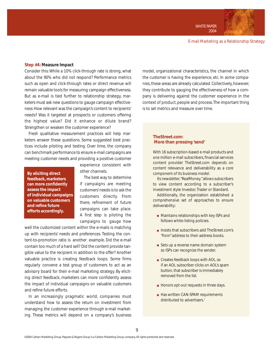WHITE PAPER 2004



E-mail Marketing as a Relationship Strategy

#### **Step #4: Measure Impact**

Consider this: While a 10% click-through rate is strong, what about the 90% who did not respond? Performance metrics such as open and click-through rates or direct revenue will remain valuable tools for measuring campaign effectiveness. But as e-mail is tied further to relationship strategy, marketers must ask new questions to gauge campaign effectiveness: How relevant was the campaign's content to recipients' needs? Was it targeted at prospects or customers offering the highest value? Did it enhance or dilute brand? Strengthen or weaken the customer experience?

Fresh qualitative measurement practices will help marketers answer these questions. Some suggested best practices include piloting and testing. Over time, the company can benchmark performance to ensure e-mail campaigns are meeting customer needs and providing a positive customer

**By eliciting direct feedback, marketers can more confidently assess the impact of individual campaigns on valuable customers and refine future efforts accordingly.**

experience consistent with other channels.

The best way to determine if campaigns are meeting customers'needs is to ask the customers directly. From there, refinement of future campaigns can take place. A first step is piloting the campaigns to gauge how

well the customized content within the e-mails is matching up with recipients' needs and preferences. Testing the content-to-promotion ratio is another example. Did the e-mail contain too much of a hard sell? Did the content provide tangible value to the recipient in addition to the offer? Another valuable practice is creating feedback loops. Some firms regularly convene a test group of customers to act as an advisory board for their e-mail marketing strategy. By eliciting direct feedback, marketers can more confidently assess the impact of individual campaigns on valuable customers and refine future efforts.

In an increasingly pragmatic world, companies must understand how to assess the return on investment from managing the customer experience through e-mail marketing. These metrics will depend on a company's business

model, organizational characteristics, the channel in which the customer is having the experience, etc. In some companies, these areas are already calculated. Collectively, however, they contribute to gauging the effectiveness of how a company is delivering against the customer experience in the context of product, people and process. The important thing is to set metrics and measure over time.

#### **TheStreet.com: More than pressing 'send'**

With 16 subscription-based e-mail products and one million e-mail subscribers, financial-services content provider TheStreet.com depends on content relevance and deliverability as a core component of its business model.

Its newsletter,"RealMoney,"allows subscribers to view content according to a subscriber's investment style: Investor, Trader or Standard.

Additionally, the organization established a comprehensive set of approaches to ensure deliverability:

- **Maintains relationships with key ISPs and** follows white-listing policies.
- **Insists that subscribers add TheStreet.com's** "from" address to their address books.
- Sets up a reverse name domain system so ISPs can recognize the sender.
- Creates feedback loops with AOL, so if an AOL subscriber clicks on AOL's spam button, that subscriber is immediately removed from the list.
- Honors opt-out requests in three days.
- Has written CAN-SPAM requirements distributed to advertisers.<sup>7</sup>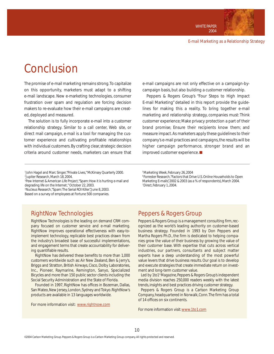

# Conclusion

The promise of e-mail marketing remains strong.To capitalize on this opportunity, marketers must adapt to a shifting e-mail landscape. New e-marketing technologies, consumer frustration over spam and regulation are forcing decision makers to re-evaluate how their e-mail campaigns are created, deployed and measured.

The solution is to fully incorporate e-mail into a customer relationship strategy. Similar to a call center, Web site, or direct mail campaign, e-mail is a tool for managing the customer experience and cultivating profitable relationships with individual customers. By crafting clear, strategic decision criteria around customer needs, marketers can ensure that e-mail campaigns are not only effective on a campaign-bycampaign basis, but also building a customer relationship.

Peppers & Rogers Group's "Four Steps to High Impact E-mail Marketing" detailed in this report provide the guidelines for making this a reality. To bring together e-mail marketing and relationship strategy, companies must: Think customer experience; Make privacy protection a part of their brand promise; Ensure their recipients know them; and measure impact. As marketers apply these guidelines to their company's e-mail practices and campaigns, the results will be higher campaign performance, stronger brand and an improved customer experience. ■

1 John Hagel and Marc Singer,"Private Lives,"McKinsey Quarterly 2000. 2 Jupiter Research, March 18, 2004.

<sup>3</sup> Pew Internet & American Life Project, "Spam: How it is hurting e-mail and degrading life on the Internet," October 22, 2003.

4 Nucleus Research,"Spam:The Serial ROI Killer", June 8, 2003. Based on a survey of employees at Fortune 500 companies.

5 Marketing Week, February 26, 2004

6 Forrester Research,"Factors that Drive U.S. Online Households to Open Marketing E-mails", 2002 & 2003 (as a % of respondents), March 2004. 7 *Direct*, February 1, 2004.

### RightNow Technologies

RightNow Technologies is the leading on demand CRM company focused on customer service and e-mail marketing. RightNow improves operational effectiveness with easy-toimplement technology, replicable best practices drawn from the industry's broadest base of successful implementations, and engagement terms that create accountability for delivering quantifiable results.

RightNow has delivered these benefits to more than 1,000 customers worldwide such as: Air New Zealand, Ben & Jerry's, Briggs and Stratton, British Airways, Cisco, Dolby Laboratories, Inc., Pioneer, Raymarine, Remington, Sanyo, Specialized Bicycles and more than 150 public sector clients including the Social Security Administration and the State of Florida.

Founded in 1997, RightNow has offices in Bozeman, Dallas, San Mateo, New Jersey, London, Sydney and Tokyo. RightNow's products are available in 13 languages worldwide.

For more information visit: www.rightnow.com

### Peppers & Rogers Group

Peppers & Rogers Group is a management consulting firm, recognized as the world's leading authority on customer-based business strategy. Founded in 1993 by Don Peppers and Martha Rogers Ph.D., the firm is dedicated to helping companies grow the value of their business by growing the value of their customer base. With expertise that cuts across vertical industries, our partners, consultants and subject matter experts have a deep understanding of the most powerful value levers that drive business results. Our goal is to develop and execute strategies that create immediate return on investment and long-term customer value.

Led by *1to1® Magazine*, Peppers & Rogers Group's independent media division reaches 250,000 readers weekly with the latest trends, insights and best practices driving customer strategy.

Peppers & Rogers Group is a Carlson Marketing Group Company, headquartered in Norwalk, Conn.The firm has a total of 14 offices on six continents.

For more information visit: www.1to1.com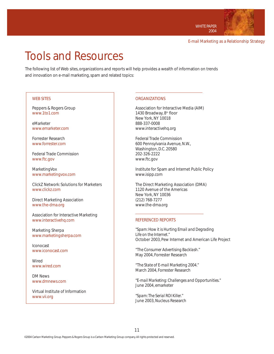

# Tools and Resources

The following list of Web sites, organizations and reports will help provides a wealth of information on trends and innovation on e-mail marketing, spam and related topics:

#### WEB SITES

Peppers & Rogers Group www.1to1.com

eMarketer www.emarketer.com

Forrester Research www.forrester.com

Federal Trade Commission www.ftc.gov

MarketingVox www.marketingvox.com

ClickZ Network: Solutions for Marketers www.clickz.com

Direct Marketing Association www.the-dma.org

Association for Interactive Marketing www.interactivehq.com

Marketing Sherpa www.marketingsherpa.com

Iconocast www.iconocast.com

**Wired** www.wired.com

DM News www.dmnews.com

Virtual Institute of Information www.vii.org

#### **ORGANIZATIONS**

Association for Interactive Media (AIM) 1430 Broadway, 8<sup>th</sup> floor New York, NY 10018 888-337-0008 www.interactivehq.org

Federal Trade Commission 600 Pennsylvania Avenue, N.W., Washington, D.C. 20580 202-326-2222 www.ftc.gov

Institute for Spam and Internet Public Policy www.isipp.com

The Direct Marketing Association (DMA) 1120 Avenue of the Americas New York, NY 10036 (212) 768-7277 www.the-dma.org

#### REFERENCED REPORTS

*"Spam: How it is Hurting Email and Degrading Life on the Internet."* October 2003, Pew Internet and American Life Project

*"The Consumer Advertising Backlash.*" May 2004, Forrester Research

*"The State of E-mail Marketing 2004."* March 2004, Forrester Research

*"E-mail Marketing: Challenges and Opportunities."* June 2004, emarketer

*"Spam: The Serial ROI Killer."* June 2003, Nucleus Research

11